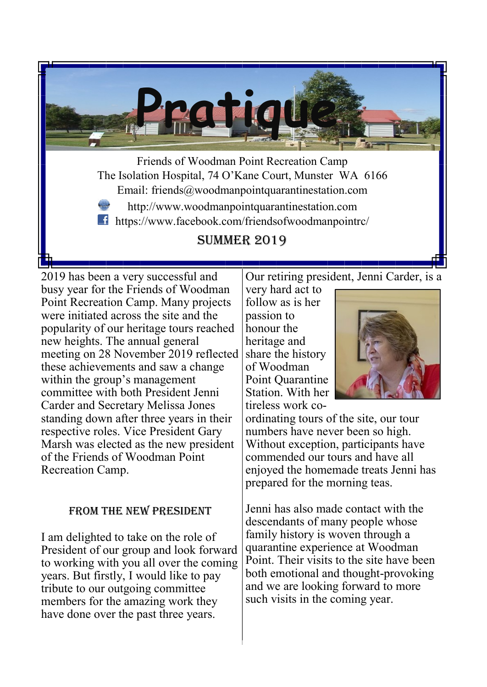

2019 has been a very successful and busy year for the Friends of Woodman Point Recreation Camp. Many projects were initiated across the site and the popularity of our heritage tours reached new heights. The annual general meeting on 28 November 2019 reflected these achievements and saw a change within the group's management committee with both President Jenni Carder and Secretary Melissa Jones standing down after three years in their respective roles. Vice President Gary Marsh was elected as the new president of the Friends of Woodman Point Recreation Camp.

### From the new President

I am delighted to take on the role of President of our group and look forward to working with you all over the coming years. But firstly, I would like to pay tribute to our outgoing committee members for the amazing work they have done over the past three years.

Our retiring president, Jenni Carder, is a

very hard act to follow as is her passion to honour the heritage and share the history of Woodman Point Quarantine Station. With her tireless work co-



ordinating tours of the site, our tour numbers have never been so high. Without exception, participants have commended our tours and have all enjoyed the homemade treats Jenni has prepared for the morning teas.

Jenni has also made contact with the descendants of many people whose family history is woven through a quarantine experience at Woodman Point. Their visits to the site have been both emotional and thought-provoking and we are looking forward to more such visits in the coming year.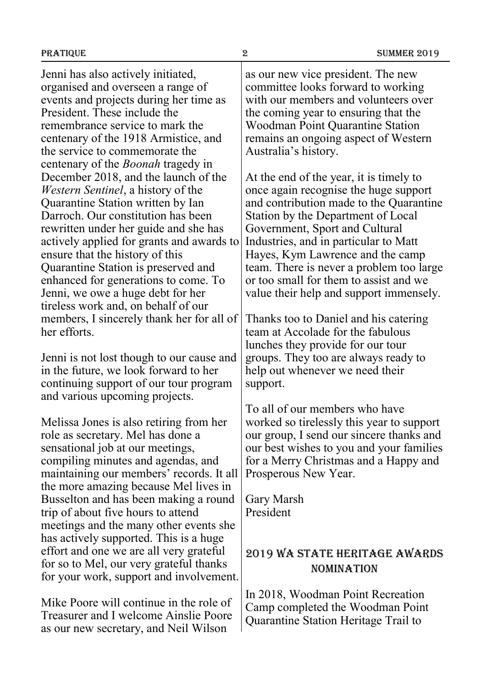Jenni has also actively initiated, organised and overseen a range of events and projects during her time as President. These include the remembrance service to mark the centenary of the 1918 Armistice, and the service to commemorate the centenary of the *Boonah* tragedy in December 2018, and the launch of the *Western Sentinel*, a history of the Quarantine Station written by Ian Darroch. Our constitution has been rewritten under her guide and she has actively applied for grants and awards to ensure that the history of this Quarantine Station is preserved and enhanced for generations to come. To Jenni, we owe a huge debt for her tireless work and, on behalf of our members, I sincerely thank her for all of her efforts.

Jenni is not lost though to our cause and in the future, we look forward to her continuing support of our tour program and various upcoming projects.

Melissa Jones is also retiring from her role as secretary. Mel has done a sensational job at our meetings, compiling minutes and agendas, and maintaining our members' records. It all the more amazing because Mel lives in Busselton and has been making a round trip of about five hours to attend meetings and the many other events she has actively supported. This is a huge effort and one we are all very grateful for so to Mel, our very grateful thanks for your work, support and involvement.

Mike Poore will continue in the role of Treasurer and I welcome Ainslie Poore as our new secretary, and Neil Wilson

as our new vice president. The new committee looks forward to working with our members and volunteers over the coming year to ensuring that the Woodman Point Quarantine Station remains an ongoing aspect of Western Australia's history.

At the end of the year, it is timely to once again recognise the huge support and contribution made to the Quarantine Station by the Department of Local Government, Sport and Cultural Industries, and in particular to Matt Hayes, Kym Lawrence and the camp team. There is never a problem too large or too small for them to assist and we value their help and support immensely.

Thanks too to Daniel and his catering team at Accolade for the fabulous lunches they provide for our tour groups. They too are always ready to help out whenever we need their support.

To all of our members who have worked so tirelessly this year to support our group, I send our sincere thanks and our best wishes to you and your families for a Merry Christmas and a Happy and Prosperous New Year.

Gary Marsh President

## 2019 WA State Heritage Awards nomination

In 2018, Woodman Point Recreation Camp completed the Woodman Point Quarantine Station Heritage Trail to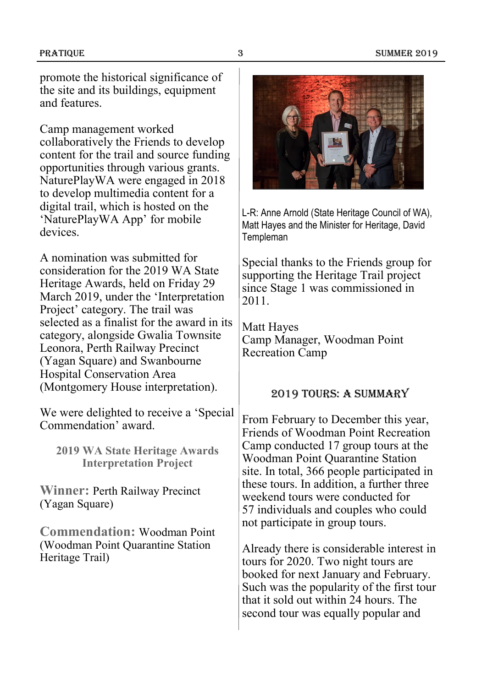promote the historical significance of the site and its buildings, equipment and features.

Camp management worked collaboratively the Friends to develop content for the trail and source funding opportunities through various grants. NaturePlayWA were engaged in 2018 to develop multimedia content for a digital trail, which is hosted on the 'NaturePlayWA App' for mobile devices.

A nomination was submitted for consideration for the 2019 WA State Heritage Awards, held on Friday 29 March 2019, under the 'Interpretation Project' category. The trail was selected as a finalist for the award in its category, alongside Gwalia Townsite Leonora, Perth Railway Precinct (Yagan Square) and Swanbourne Hospital Conservation Area (Montgomery House interpretation).

We were delighted to receive a 'Special Commendation' award.

**2019 WA State Heritage Awards Interpretation Project**

**Winner:** Perth Railway Precinct (Yagan Square)

**Commendation:** Woodman Point (Woodman Point Quarantine Station Heritage Trail)



L-R: Anne Arnold (State Heritage Council of WA), Matt Hayes and the Minister for Heritage, David Templeman

Special thanks to the Friends group for supporting the Heritage Trail project since Stage 1 was commissioned in 2011.

Matt Hayes Camp Manager, Woodman Point Recreation Camp

### 2019 Tours: A Summary

From February to December this year, Friends of Woodman Point Recreation Camp conducted 17 group tours at the Woodman Point Quarantine Station site. In total, 366 people participated in these tours. In addition, a further three weekend tours were conducted for 57 individuals and couples who could not participate in group tours.

Already there is considerable interest in tours for 2020. Two night tours are booked for next January and February. Such was the popularity of the first tour that it sold out within 24 hours. The second tour was equally popular and